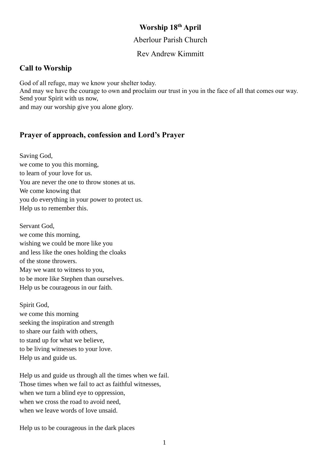### **Worship 18 th April**

#### Aberlour Parish Church

### Rev Andrew Kimmitt

### **Call to Worship**

God of all refuge, may we know your shelter today. And may we have the courage to own and proclaim our trust in you in the face of all that comes our way. Send your Spirit with us now, and may our worship give you alone glory.

### **Prayer of approach, confession and Lord's Prayer**

Saving God, we come to you this morning, to learn of your love for us. You are never the one to throw stones at us. We come knowing that you do everything in your power to protect us. Help us to remember this.

Servant God, we come this morning, wishing we could be more like you and less like the ones holding the cloaks of the stone throwers. May we want to witness to you, to be more like Stephen than ourselves. Help us be courageous in our faith.

Spirit God, we come this morning seeking the inspiration and strength to share our faith with others, to stand up for what we believe, to be living witnesses to your love. Help us and guide us.

Help us and guide us through all the times when we fail. Those times when we fail to act as faithful witnesses, when we turn a blind eye to oppression, when we cross the road to avoid need. when we leave words of love unsaid.

Help us to be courageous in the dark places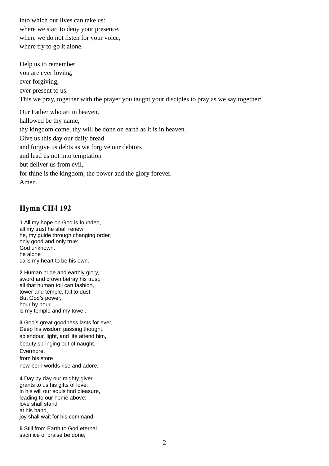into which our lives can take us: where we start to deny your presence, where we do not listen for your voice, where try to go it alone.

Help us to remember you are ever loving, ever forgiving, ever present to us. This we pray, together with the prayer you taught your disciples to pray as we say together: Our Father who art in heaven, hallowed be thy name, thy kingdom come, thy will be done on earth as it is in heaven. Give us this day our daily bread

and forgive us debts as we forgive our debtors

and lead us not into temptation

but deliver us from evil,

for thine is the kingdom, the power and the glory forever.

Amen.

## **Hymn CH4 192**

**1** All my hope on God is founded, all my trust he shall renew; he, my guide through changing order, only good and only true: God unknown, he alone calls my heart to be his own.

**2** Human pride and earthly glory, sword and crown betray his trust; all that human toil can fashion, tower and temple, fall to dust. But God's power, hour by hour, is my temple and my tower.

**3** God's great goodness lasts for ever, Deep his wisdom passing thought, splendour, light, and life attend him, beauty springing out of naught. Evermore, from his store new-born worlds rise and adore.

**4** Day by day our mighty giver grants to us his gifts of love; in his will our souls find pleasure, leading to our home above: love shall stand at his hand, joy shall wait for his command.

**5** Still from Earth to God eternal sacrifice of praise be done;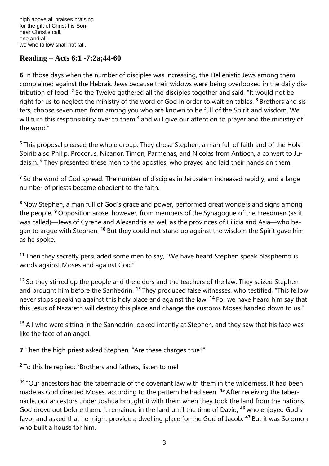high above all praises praising for the gift of Christ his Son: hear Christ's call, one and all – we who follow shall not fall.

### **Reading – Acts 6:1 -7:2a;44-60**

**6** In those days when the number of disciples was increasing, the Hellenistic Jews among them complained against the Hebraic Jews because their widows were being overlooked in the daily distribution of food. **<sup>2</sup>** So the Twelve gathered all the disciples together and said, "It would not be right for us to neglect the ministry of the word of God in order to wait on tables. **<sup>3</sup>** Brothers and sisters, choose seven men from among you who are known to be full of the Spirit and wisdom. We will turn this responsibility over to them **<sup>4</sup>** and will give our attention to prayer and the ministry of the word."

**<sup>5</sup>** This proposal pleased the whole group. They chose Stephen, a man full of faith and of the Holy Spirit; also Philip, Procorus, Nicanor, Timon, Parmenas, and Nicolas from Antioch, a convert to Judaism. **<sup>6</sup>** They presented these men to the apostles, who prayed and laid their hands on them.

<sup>7</sup> So the word of God spread. The number of disciples in Jerusalem increased rapidly, and a large number of priests became obedient to the faith.

**<sup>8</sup>** Now Stephen, a man full of God's grace and power, performed great wonders and signs among the people. **<sup>9</sup>** Opposition arose, however, from members of the Synagogue of the Freedmen (as it was called)—Jews of Cyrene and Alexandria as well as the provinces of Cilicia and Asia—who began to argue with Stephen. **<sup>10</sup>** But they could not stand up against the wisdom the Spirit gave him as he spoke.

**<sup>11</sup>** Then they secretly persuaded some men to say, "We have heard Stephen speak blasphemous words against Moses and against God."

**<sup>12</sup>** So they stirred up the people and the elders and the teachers of the law. They seized Stephen and brought him before the Sanhedrin. **<sup>13</sup>** They produced false witnesses, who testified, "This fellow never stops speaking against this holy place and against the law. **<sup>14</sup>** For we have heard him say that this Jesus of Nazareth will destroy this place and change the customs Moses handed down to us."

**<sup>15</sup>** All who were sitting in the Sanhedrin looked intently at Stephen, and they saw that his face was like the face of an angel.

**7** Then the high priest asked Stephen, "Are these charges true?"

**<sup>2</sup>** To this he replied: "Brothers and fathers, listen to me!

**<sup>44</sup>** "Our ancestors had the tabernacle of the covenant law with them in the wilderness. It had been made as God directed Moses, according to the pattern he had seen. **<sup>45</sup>** After receiving the tabernacle, our ancestors under Joshua brought it with them when they took the land from the nations God drove out before them. It remained in the land until the time of David, **<sup>46</sup>** who enjoyed God's favor and asked that he might provide a dwelling place for the God of Jacob. **<sup>47</sup>** But it was Solomon who built a house for him.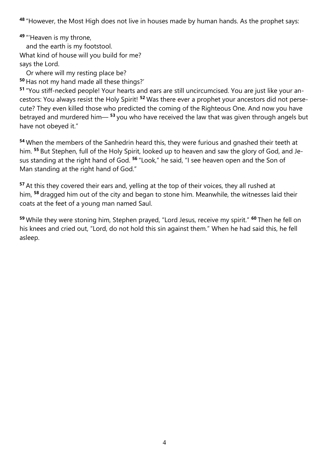**<sup>48</sup>** "However, the Most High does not live in houses made by human hands. As the prophet says:

**<sup>49</sup>** "'Heaven is my throne, and the earth is my footstool. What kind of house will you build for me? says the Lord.

 Or where will my resting place be? **<sup>50</sup>** Has not my hand made all these things?'

**<sup>51</sup>** "You stiff-necked people! Your hearts and ears are still uncircumcised. You are just like your ancestors: You always resist the Holy Spirit! **<sup>52</sup>** Was there ever a prophet your ancestors did not persecute? They even killed those who predicted the coming of the Righteous One. And now you have betrayed and murdered him— **<sup>53</sup>** you who have received the law that was given through angels but have not obeyed it."

**<sup>54</sup>** When the members of the Sanhedrin heard this, they were furious and gnashed their teeth at him. **<sup>55</sup>** But Stephen, full of the Holy Spirit, looked up to heaven and saw the glory of God, and Jesus standing at the right hand of God. **<sup>56</sup>** "Look," he said, "I see heaven open and the Son of Man standing at the right hand of God."

**<sup>57</sup>** At this they covered their ears and, yelling at the top of their voices, they all rushed at him, **<sup>58</sup>** dragged him out of the city and began to stone him. Meanwhile, the witnesses laid their coats at the feet of a young man named Saul.

**<sup>59</sup>** While they were stoning him, Stephen prayed, "Lord Jesus, receive my spirit." **<sup>60</sup>** Then he fell on his knees and cried out, "Lord, do not hold this sin against them." When he had said this, he fell asleep.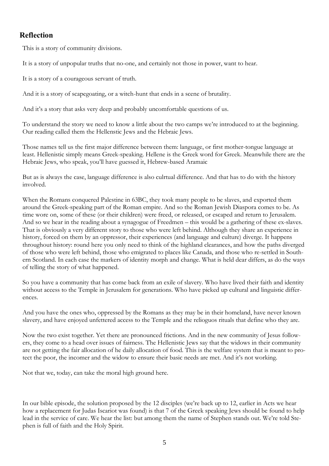### **Reflection**

This is a story of community divisions.

It is a story of unpopular truths that no-one, and certainly not those in power, want to hear.

It is a story of a courageous servant of truth.

And it is a story of scapegoating, or a witch-hunt that ends in a scene of brutality.

And it's a story that asks very deep and probably uncomfortable questions of us.

To understand the story we need to know a little about the two camps we're introduced to at the beginning. Our reading called them the Hellenstic Jews and the Hebraic Jews.

Those names tell us the first major difference between them: language, or first mother-tongue language at least. Hellenistic simply means Greek-speaking. Hellene is the Greek word for Greek. Meanwhile there are the Hebraic Jews, who speak, you'll have guessed it, Hebrew-based Aramaic

But as is always the case, language difference is also culrtual difference. And that has to do with the history involved.

When the Romans conquered Palestine in 63BC, they took many people to be slaves, and exported them around the Greek-speaking part of the Roman empire. And so the Roman Jewish Diaspora comes to be. As time wore on, some of these (or their children) were freed, or released, or escaped and return to Jerusalem. And so we hear in the reading about a synagogue of Freedmen – this would be a gathering of these ex-slaves. That is obviously a very different story to those who were left behind. Although they share an experience in history, forced on them by an oppressor, their experiences (and language and culture) diverge. It happens throughout history: round here you only need to think of the highland clearances, and how the paths diverged of those who were left behind, those who emigrated to places like Canada, and those who re-settled in Southern Scotland. In each case the markers of identity morph and change. What is held dear differs, as do the ways of telling the story of what happened.

So you have a community that has come back from an exile of slavery. Who have lived their faith and identity without access to the Temple in Jerusalem for generations. Who have picked up cultural and linguistic differences.

And you have the ones who, oppressed by the Romans as they may be in their homeland, have never known slavery, and have enjoyed unfettered access to the Temple and the relioguos rituals that define who they are.

Now the two exist together. Yet there are pronounced frictions. And in the new community of Jesus followers, they come to a head over issues of fairness. The Hellenistic Jews say that the widows in their community are not getting the fair allocation of he daily allocation of food. This is the welfare system that is meant to protect the poor, the incomer and the widow to ensure their basic needs are met. And it's not working.

Not that we, today, can take the moral high ground here.

In our bible episode, the solution proposed by the 12 disciples (we're back up to 12, earlier in Acts we hear how a replacement for Judas Iscariot was found) is that 7 of the Greek speaking Jews should be found to help lead in the service of care. We hear the list: but among them the name of Stephen stands out. We're told Stephen is full of faith and the Holy Spirit.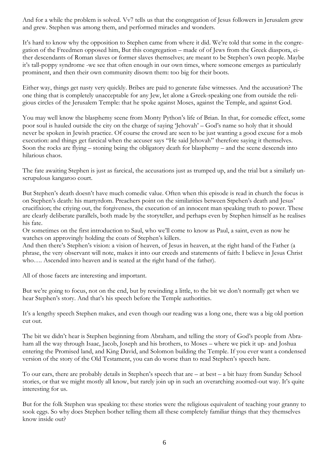And for a while the problem is solved. Vv7 tells us that the congregation of Jesus followers in Jerusalem grew and grew. Stephen was among them, and performed miracles and wonders.

It's hard to know why the opposition to Stephen came from where it did. We're told that some in the congregation of the Freedmen opposed him, But this congregation – made of of Jews from the Greek diaspora, either descendants of Roman slaves or former slaves themselves; are meant to be Stephen's own people. Maybe it's tall-poppy syndrome -we see that often enough in our own times, where someone emerges as particularly prominent, and then their own community disown them: too big for their boots.

Either way, things get nasty very quickly. Bribes are paid to generate false witnesses. And the accusation? The one thing that is completely unacceptable for any Jew, let alone a Greek-speaking one from outside the religious circles of the Jerusalem Temple: that he spoke against Moses, against the Temple, and against God.

You may well know the blasphemy scene from Monty Python's life of Brian. In that, for comedic effect, some poor soul is hauled outside the city on the charge of saying 'Jehovah' – God's name so holy that it should never be spoken in Jewish practice. Of course the crowd are seen to be just wanting a good excuse for a mob execution: and things get farcical when the accuser says "He said Jehovah" therefore saying it themselves. Soon the rocks are flying – stoning being the obligatory death for blasphemy – and the scene descends into hilarious chaos.

The fate awaiting Stephen is just as farcical, the accusations just as trumped up, and the trial but a similarly unscrupulous kangaroo court.

But Stephen's death doesn't have much comedic value. Often when this episode is read in church the focus is on Stephen's death: his martyrdom. Preachers point on the similarities between Stpehen's death and Jesus' crucifixion; the criying out, the forgiveness, the execution of an innocent man speaking truth to power. These are clearly deliberate parallels, both made by the storyteller, and perhaps even by Stephen himself as he realises his fate.

Or sometimes on the first introduction to Saul, who we'll come to know as Paul, a saint, even as now he watches on approvingly holding the coats of Stephen's killers.

And then there's Stephen's vision: a vision of heaven, of Jesus in heaven, at the right hand of the Father (a phrase, the very observant will note, makes it into our creeds and statements of faith: I believe in Jesus Christ who…. Ascended into heaven and is seated at the right hand of the father).

All of those facets are interesting and important.

But we're going to focus, not on the end, but by rewinding a little, to the bit we don't normally get when we hear Stephen's story. And that's his speech before the Temple authorities.

It's a lengthy speech Stephen makes, and even though our reading was a long one, there was a big old portion cut out.

The bit we didn't hear is Stephen beginning from Abraham, and telling the story of God's people from Abraham all the way through Isaac, Jacob, Joseph and his brothers, to Moses – where we pick it up- and Joshua entering the Promised land, and King David, and Solomon building the Temple. If you ever want a condensed version of the story of the Old Testament, you can do worse than to read Stephen's speech here.

To our ears, there are probably details in Stephen's speech that are – at best – a bit hazy from Sunday School stories, or that we might mostly all know, but rarely join up in such an overarching zoomed-out way. It's quite interesting for us.

But for the folk Stephen was speaking to: these stories were the religious equivalent of teaching your granny to sook eggs. So why does Stephen bother telling them all these completely familiar things that they themselves know inside out?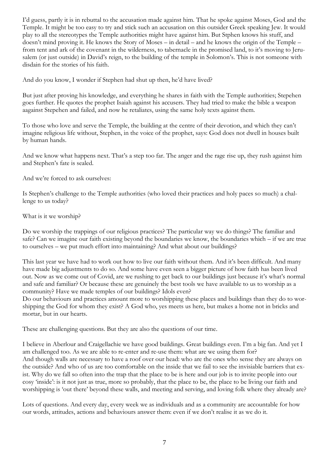I'd guess, partly it is in rebuttal to the accusation made against him. That he spoke against Moses, God and the Temple. It might be too easy to try and stick such an accusation on this outsider Greek speaking Jew. It would play to all the stereotypes the Temple authorities might have against him. But Stphen knows his stuff, and doesn't mind proving it. He knows the Story of Moses – in detail – and he knows the origin of the Temple – from tent and ark of the covenant in the wilderness, to tabernacle in the promised land, to it's moving to Jerusalem (or just outside) in David's reign, to the building of the temple in Solomon's. This is not someone with disdain for the stories of his faith.

And do you know, I wonder if Stephen had shut up then, he'd have lived?

But just after proving his knowledge, and everything he shares in faith with the Temple authorities; Stepehen goes further. He quotes the prophet Isaiah against his accusers. They had tried to make the bible a weapon aagainst Stepehen and failed, and now he retaliates, using the same holy texts against them.

To those who love and serve the Temple, the building at the centre of their devotion, and which they can't imagine religious life without, Stephen, in the voice of the prophet, says: God does not dwell in houses built by human hands.

And we know what happens next. That's a step too far. The anger and the rage rise up, they rush against him and Stephen's fate is sealed.

And we're forced to ask ourselves:

Is Stephen's challenge to the Temple authorities (who loved their practices and holy paces so much) a challenge to us today?

What is it we worship?

Do we worship the trappings of our religious practices? The particular way we do things? The familiar and safe? Can we imagine our faith existing beyond the boundaries we know, the boundaries which – if we are true to ourselves – we put much effort into maintaining? And what about our buildings?

This last year we have had to work out how to live our faith without them. And it's been difficult. And many have made big adjustments to do so. And some have even seen a bigger picture of how faith has been lived out. Now as we come out of Covid, are we rushing to get back to our buildings just because it's what's normal and safe and familiar? Or because these are genuinely the best tools we have available to us to worship as a community? Have we made temples of our buildings? Idols even?

Do our behaviours and practices amount more to worshipping these places and buildings than they do to worshipping the God for whom they exist? A God who, yes meets us here, but makes a home not in bricks and mortar, but in our hearts.

These are challenging questions. But they are also the questions of our time.

I believe in Aberlour and Craigellachie we have good buildings. Great buildings even. I'm a big fan. And yet I am challenged too. As we are able to re-enter and re-use them: what are we using them for? And though walls are necessary to have a roof over our head: who are the ones who sense they are always on the outside? And who of us are too comfortable on the inside that we fail to see the invisiable barriers that exist. Why do we fall so often into the trap that the place to be is here and our job is to invite people into our cosy 'inside': is it not just as true, more so probably, that the place to be, the place to be living our faith and worshipping is 'out there' beyond these walls, and meeting and serving, and loving folk where they already are?

Lots of questions. And every day, every week we as individuals and as a community are accountable for how our words, attitudes, actions and behaviours answer them: even if we don't realise it as we do it.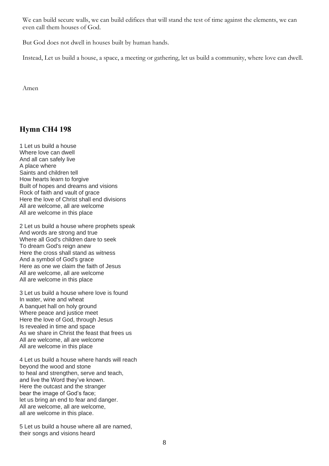We can build secure walls, we can build edifices that will stand the test of time against the elements, we can even call them houses of God.

But God does not dwell in houses built by human hands.

Instead, Let us build a house, a space, a meeting or gathering, let us build a community, where love can dwell.

Amen

## **Hymn CH4 198**

1 Let us build a house Where love can dwell And all can safely live A place where Saints and children tell How hearts learn to forgive Built of hopes and dreams and visions Rock of faith and vault of grace Here the love of Christ shall end divisions All are welcome, all are welcome All are welcome in this place

2 Let us build a house where prophets speak And words are strong and true Where all God's children dare to seek To dream God's reign anew Here the cross shall stand as witness And a symbol of God's grace Here as one we claim the faith of Jesus All are welcome, all are welcome All are welcome in this place

3 Let us build a house where love is found In water, wine and wheat A banquet hall on holy ground Where peace and justice meet Here the love of God, through Jesus Is revealed in time and space As we share in Christ the feast that frees us All are welcome, all are welcome All are welcome in this place

4 Let us build a house where hands will reach beyond the wood and stone to heal and strengthen, serve and teach, and live the Word they've known. Here the outcast and the stranger bear the image of God's face; let us bring an end to fear and danger. All are welcome, all are welcome, all are welcome in this place.

5 Let us build a house where all are named, their songs and visions heard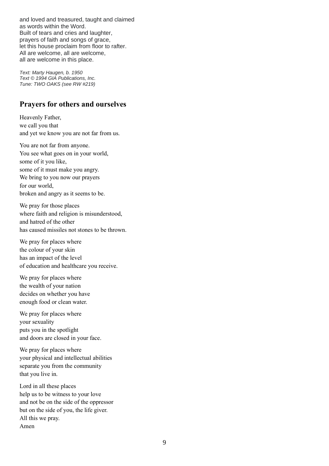and loved and treasured, taught and claimed as words within the Word. Built of tears and cries and laughter, prayers of faith and songs of grace, let this house proclaim from floor to rafter. All are welcome, all are welcome, all are welcome in this place.

*Text: Marty Haugen, b. 1950 Text © 1994 GIA Publications, Inc. Tune: TWO OAKS (see RW #219)*

#### **Prayers for others and ourselves**

Heavenly Father, we call you that and yet we know you are not far from us.

You are not far from anyone. You see what goes on in your world, some of it you like, some of it must make you angry. We bring to you now our prayers for our world, broken and angry as it seems to be.

We pray for those places where faith and religion is misunderstood, and hatred of the other has caused missiles not stones to be thrown.

We pray for places where the colour of your skin has an impact of the level of education and healthcare you receive.

We pray for places where the wealth of your nation decides on whether you have enough food or clean water.

We pray for places where your sexuality puts you in the spotlight and doors are closed in your face.

We pray for places where your physical and intellectual abilities separate you from the community that you live in.

Lord in all these places help us to be witness to your love and not be on the side of the oppressor but on the side of you, the life giver. All this we pray. Amen